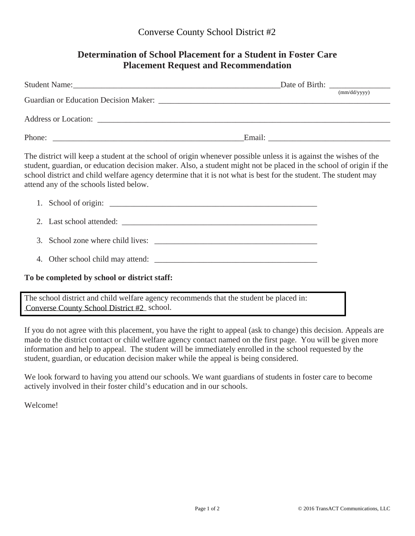## **Determination of School Placement for a Student in Foster Care Placement Request and Recommendation**

|                                                                                                                    | (mm/dd/vvvv) |
|--------------------------------------------------------------------------------------------------------------------|--------------|
|                                                                                                                    |              |
|                                                                                                                    |              |
| The district will began a student of the sake of a figure whomever nogeible wales it is against the wichers of the |              |

The district will keep a student at the school of origin whenever possible unless it is against the wishes of the student, guardian, or education decision maker. Also, a student might not be placed in the school of origin if the school district and child welfare agency determine that it is not what is best for the student. The student may attend any of the schools listed below.

|                                                                                        | 1. School of origin:              |  |  |
|----------------------------------------------------------------------------------------|-----------------------------------|--|--|
|                                                                                        |                                   |  |  |
|                                                                                        |                                   |  |  |
|                                                                                        | 4. Other school child may attend: |  |  |
| To be completed by school or district staff:                                           |                                   |  |  |
| The school district and child welfare agency recommends that the student be placed in: |                                   |  |  |
| Converse County School District #2 school.                                             |                                   |  |  |

If you do not agree with this placement, you have the right to appeal (ask to change) this decision. Appeals are made to the district contact or child welfare agency contact named on the first page. You will be given more information and help to appeal. The student will be immediately enrolled in the school requested by the student, guardian, or education decision maker while the appeal is being considered.

We look forward to having you attend our schools. We want guardians of students in foster care to become actively involved in their foster child's education and in our schools.

Welcome!